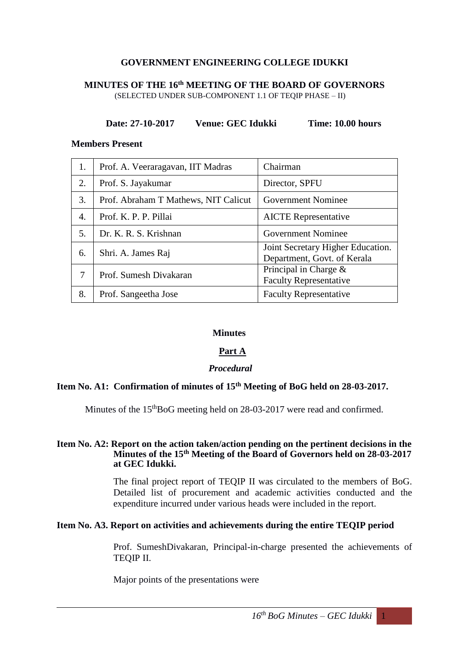# **GOVERNMENT ENGINEERING COLLEGE IDUKKI**

#### **MINUTES OF THE 16th MEETING OF THE BOARD OF GOVERNORS** (SELECTED UNDER SUB-COMPONENT 1.1 OF TEQIP PHASE – II)

## **Date: 27-10-2017 Venue: GEC Idukki Time: 10.00 hours**

#### **Members Present**

| 1. | Prof. A. Veeraragavan, IIT Madras    | Chairman                                                         |  |
|----|--------------------------------------|------------------------------------------------------------------|--|
| 2. | Prof. S. Jayakumar                   | Director, SPFU                                                   |  |
| 3. | Prof. Abraham T Mathews, NIT Calicut | <b>Government Nominee</b>                                        |  |
| 4. | Prof. K. P. P. Pillai                | <b>AICTE</b> Representative                                      |  |
| 5. | Dr. K. R. S. Krishnan                | <b>Government Nominee</b>                                        |  |
| 6. | Shri. A. James Raj                   | Joint Secretary Higher Education.<br>Department, Govt. of Kerala |  |
| 7  | Prof. Sumesh Divakaran               | Principal in Charge $\&$<br><b>Faculty Representative</b>        |  |
| 8. | Prof. Sangeetha Jose                 | <b>Faculty Representative</b>                                    |  |

## **Minutes**

## **Part A**

#### *Procedural*

# **Item No. A1: Confirmation of minutes of 15th Meeting of BoG held on 28-03-2017.**

Minutes of the 15<sup>th</sup>BoG meeting held on 28-03-2017 were read and confirmed.

#### **Item No. A2: Report on the action taken/action pending on the pertinent decisions in the Minutes of the 15th Meeting of the Board of Governors held on 28-03-2017 at GEC Idukki.**

The final project report of TEQIP II was circulated to the members of BoG. Detailed list of procurement and academic activities conducted and the expenditure incurred under various heads were included in the report.

## **Item No. A3. Report on activities and achievements during the entire TEQIP period**

Prof. SumeshDivakaran, Principal-in-charge presented the achievements of TEQIP II.

Major points of the presentations were

 $16<sup>th</sup>$  *BoG Minutes* – *GEC Idukki* 1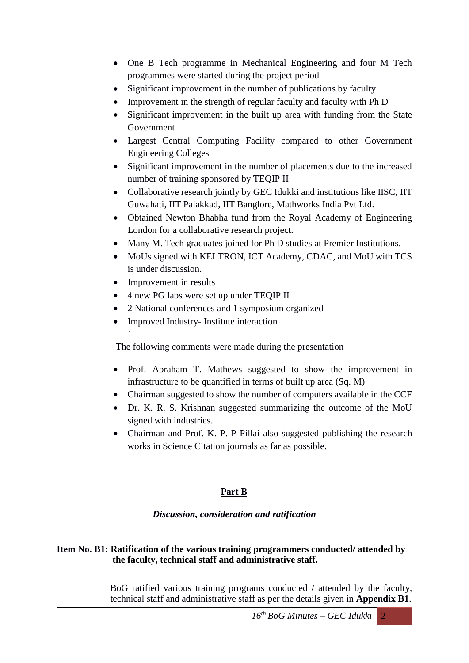- One B Tech programme in Mechanical Engineering and four M Tech programmes were started during the project period
- Significant improvement in the number of publications by faculty
- Improvement in the strength of regular faculty and faculty with Ph D
- Significant improvement in the built up area with funding from the State Government
- Largest Central Computing Facility compared to other Government Engineering Colleges
- Significant improvement in the number of placements due to the increased number of training sponsored by TEQIP II
- Collaborative research jointly by GEC Idukki and institutions like IISC, IIT Guwahati, IIT Palakkad, IIT Banglore, Mathworks India Pvt Ltd.
- Obtained Newton Bhabha fund from the Royal Academy of Engineering London for a collaborative research project.
- Many M. Tech graduates joined for Ph D studies at Premier Institutions.
- MoUs signed with KELTRON, ICT Academy, CDAC, and MoU with TCS is under discussion.
- Improvement in results

`

- 4 new PG labs were set up under TEQIP II
- 2 National conferences and 1 symposium organized
- Improved Industry-Institute interaction

The following comments were made during the presentation

- Prof. Abraham T. Mathews suggested to show the improvement in infrastructure to be quantified in terms of built up area (Sq. M)
- Chairman suggested to show the number of computers available in the CCF
- Dr. K. R. S. Krishnan suggested summarizing the outcome of the MoU signed with industries.
- Chairman and Prof. K. P. P Pillai also suggested publishing the research works in Science Citation journals as far as possible.

## **Part B**

## *Discussion, consideration and ratification*

# **Item No. B1: Ratification of the various training programmers conducted/ attended by the faculty, technical staff and administrative staff.**

BoG ratified various training programs conducted / attended by the faculty, technical staff and administrative staff as per the details given in **Appendix B1**.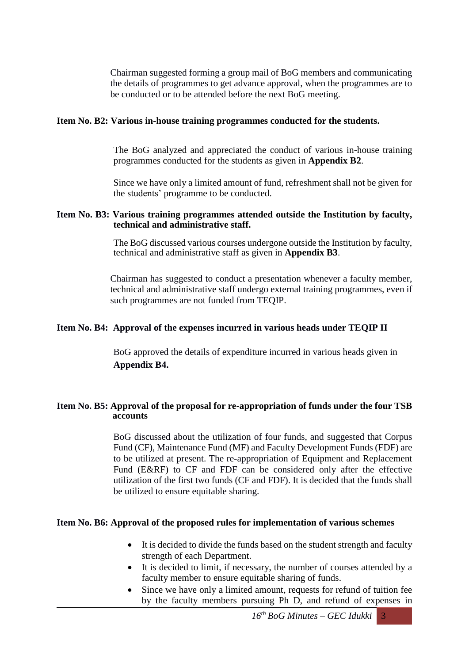Chairman suggested forming a group mail of BoG members and communicating the details of programmes to get advance approval, when the programmes are to be conducted or to be attended before the next BoG meeting.

## **Item No. B2: Various in-house training programmes conducted for the students.**

The BoG analyzed and appreciated the conduct of various in-house training programmes conducted for the students as given in **Appendix B2**.

Since we have only a limited amount of fund, refreshment shall not be given for the students' programme to be conducted.

### **Item No. B3: Various training programmes attended outside the Institution by faculty, technical and administrative staff.**

The BoG discussed various courses undergone outside the Institution by faculty, technical and administrative staff as given in **Appendix B3**.

Chairman has suggested to conduct a presentation whenever a faculty member, technical and administrative staff undergo external training programmes, even if such programmes are not funded from TEQIP.

## **Item No. B4: Approval of the expenses incurred in various heads under TEQIP II**

BoG approved the details of expenditure incurred in various heads given in **Appendix B4.**

## **Item No. B5: Approval of the proposal for re-appropriation of funds under the four TSB accounts**

BoG discussed about the utilization of four funds, and suggested that Corpus Fund (CF), Maintenance Fund (MF) and Faculty Development Funds (FDF) are to be utilized at present. The re-appropriation of Equipment and Replacement Fund (E&RF) to CF and FDF can be considered only after the effective utilization of the first two funds (CF and FDF). It is decided that the funds shall be utilized to ensure equitable sharing.

### **Item No. B6: Approval of the proposed rules for implementation of various schemes**

- It is decided to divide the funds based on the student strength and faculty strength of each Department.
- It is decided to limit, if necessary, the number of courses attended by a faculty member to ensure equitable sharing of funds.
- Since we have only a limited amount, requests for refund of tuition fee by the faculty members pursuing Ph D, and refund of expenses in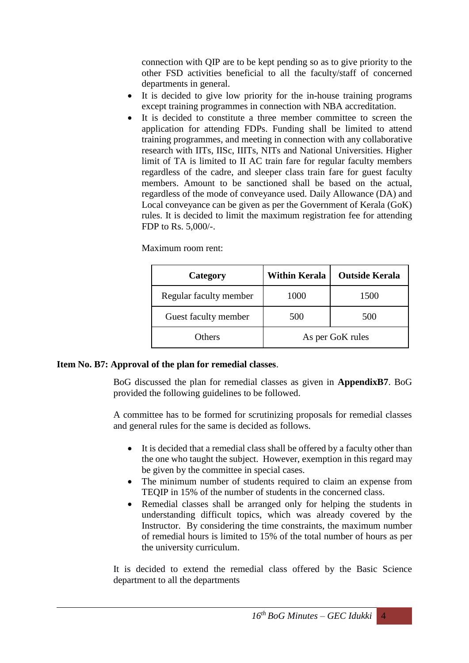connection with QIP are to be kept pending so as to give priority to the other FSD activities beneficial to all the faculty/staff of concerned departments in general.

- It is decided to give low priority for the in-house training programs except training programmes in connection with NBA accreditation.
- It is decided to constitute a three member committee to screen the application for attending FDPs. Funding shall be limited to attend training programmes, and meeting in connection with any collaborative research with IITs, IISc, IIITs, NITs and National Universities. Higher limit of TA is limited to II AC train fare for regular faculty members regardless of the cadre, and sleeper class train fare for guest faculty members. Amount to be sanctioned shall be based on the actual, regardless of the mode of conveyance used. Daily Allowance (DA) and Local conveyance can be given as per the Government of Kerala (GoK) rules. It is decided to limit the maximum registration fee for attending FDP to Rs. 5,000/-.

Maximum room rent:

| Category               | <b>Within Kerala</b> | <b>Outside Kerala</b> |  |
|------------------------|----------------------|-----------------------|--|
| Regular faculty member | 1000                 | 1500                  |  |
| Guest faculty member   | 500                  | 500                   |  |
| Others                 | As per GoK rules     |                       |  |

#### **Item No. B7: Approval of the plan for remedial classes**.

BoG discussed the plan for remedial classes as given in **AppendixB7**. BoG provided the following guidelines to be followed.

A committee has to be formed for scrutinizing proposals for remedial classes and general rules for the same is decided as follows.

- It is decided that a remedial class shall be offered by a faculty other than the one who taught the subject. However, exemption in this regard may be given by the committee in special cases.
- The minimum number of students required to claim an expense from TEQIP in 15% of the number of students in the concerned class.
- Remedial classes shall be arranged only for helping the students in understanding difficult topics, which was already covered by the Instructor. By considering the time constraints, the maximum number of remedial hours is limited to 15% of the total number of hours as per the university curriculum.

It is decided to extend the remedial class offered by the Basic Science department to all the departments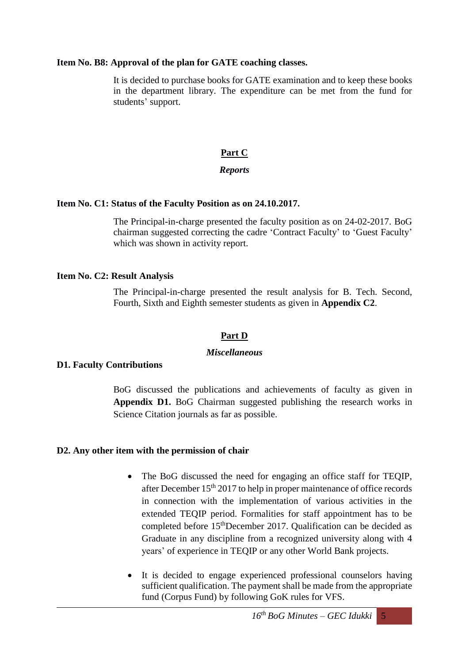### **Item No. B8: Approval of the plan for GATE coaching classes.**

It is decided to purchase books for GATE examination and to keep these books in the department library. The expenditure can be met from the fund for students' support.

# **Part C**

# *Reports*

### **Item No. C1: Status of the Faculty Position as on 24.10.2017.**

The Principal-in-charge presented the faculty position as on 24-02-2017. BoG chairman suggested correcting the cadre 'Contract Faculty' to 'Guest Faculty' which was shown in activity report.

### **Item No. C2: Result Analysis**

The Principal-in-charge presented the result analysis for B. Tech. Second, Fourth, Sixth and Eighth semester students as given in **Appendix C2**.

# **Part D**

## *Miscellaneous*

#### **D1. Faculty Contributions**

BoG discussed the publications and achievements of faculty as given in **Appendix D1.** BoG Chairman suggested publishing the research works in Science Citation journals as far as possible.

#### **D2. Any other item with the permission of chair**

- The BoG discussed the need for engaging an office staff for TEQIP, after December  $15<sup>th</sup> 2017$  to help in proper maintenance of office records in connection with the implementation of various activities in the extended TEQIP period. Formalities for staff appointment has to be completed before 15thDecember 2017. Qualification can be decided as Graduate in any discipline from a recognized university along with 4 years' of experience in TEQIP or any other World Bank projects.
- It is decided to engage experienced professional counselors having sufficient qualification. The payment shall be made from the appropriate fund (Corpus Fund) by following GoK rules for VFS.

 $16<sup>th</sup>$  *BoG Minutes* – *GEC Idukki* 5